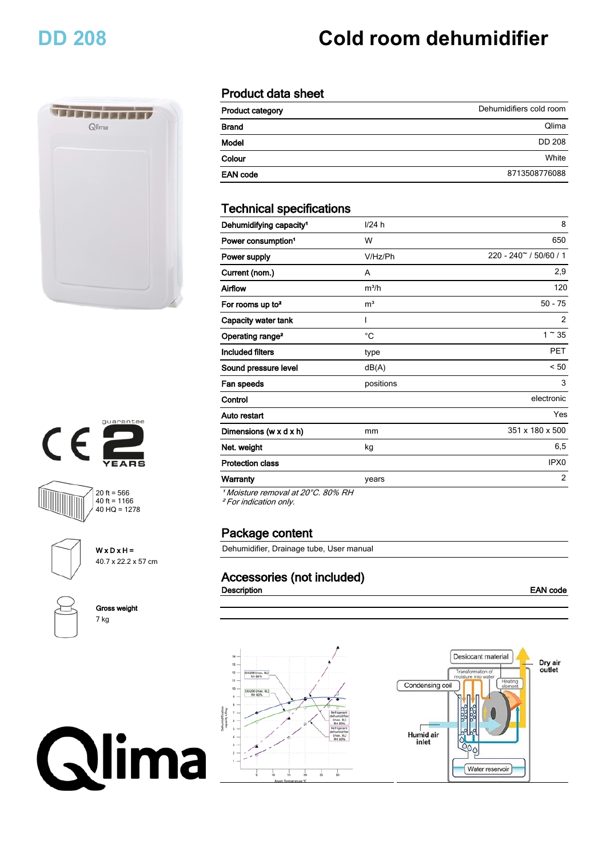# **DD 208 Cold room dehumidifier**









**W x D x H =** 40.7 x 22.2 x 57 cm

**Gross weight** 7 kg



### **Product data sheet**

| <b>Product category</b> | Dehumidifiers cold room |
|-------------------------|-------------------------|
| <b>Brand</b>            | Qlima                   |
| Model                   | <b>DD 208</b>           |
| Colour                  | White                   |
| <b>EAN code</b>         | 8713508776088           |

### **Technical specifications**

| Dehumidifying capacity <sup>1</sup>  | 1/24 h         | 8                             |
|--------------------------------------|----------------|-------------------------------|
| Power consumption <sup>1</sup>       | W              | 650                           |
| Power supply                         | V/Hz/Ph        | $220 - 240^\circ / 50/60 / 1$ |
| Current (nom.)                       | A              | 2,9                           |
| Airflow                              | $m^3/h$        | 120                           |
| For rooms up to <sup>2</sup>         | m <sup>3</sup> | $50 - 75$                     |
| Capacity water tank                  |                | 2                             |
| Operating range <sup>2</sup>         | °C             | $1^\sim 35$                   |
| <b>Included filters</b>              | type           | <b>PET</b>                    |
| Sound pressure level                 | dB(A)          | < 50                          |
| Fan speeds                           | positions      | 3                             |
| Control                              |                | electronic                    |
| Auto restart                         |                | Yes                           |
| Dimensions (w $\times$ d $\times$ h) | mm             | 351 x 180 x 500               |
| Net. weight                          | kg             | 6,5                           |
| <b>Protection class</b>              |                | IPX <sub>0</sub>              |
| <b>Warranty</b>                      | years          | $\overline{2}$                |

*¹ Moisture removal at 20°C. 80% RH*

*² For indication only.*

#### **Package content**

Dehumidifier, Drainage tube, User manual

### **Accessories (not included)**

**Description EAN** code